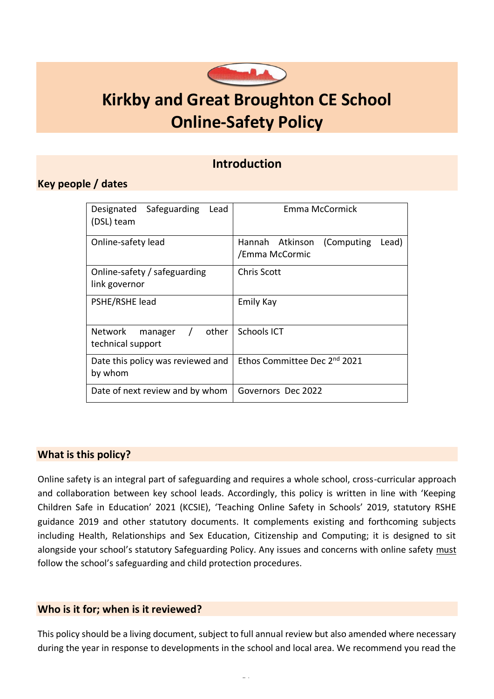

# **Kirkby and Great Broughton CE School Online-Safety Policy**

### **Introduction**

### <span id="page-0-0"></span>**Key people / dates**

| Designated Safeguarding<br>Lead<br>(DSL) team                       | Emma McCormick                                            |
|---------------------------------------------------------------------|-----------------------------------------------------------|
| Online-safety lead                                                  | Hannah Atkinson<br>(Computing)<br>Lead)<br>/Emma McCormic |
| Online-safety / safeguarding<br>link governor                       | <b>Chris Scott</b>                                        |
| PSHE/RSHE lead                                                      | <b>Emily Kay</b>                                          |
| other<br><b>Network</b><br>$\prime$<br>manager<br>technical support | <b>Schools ICT</b>                                        |
| Date this policy was reviewed and<br>by whom                        | Ethos Committee Dec 2 <sup>nd</sup> 2021                  |
| Date of next review and by whom                                     | Governors Dec 2022                                        |

### <span id="page-0-1"></span>**What is this policy?**

Online safety is an integral part of safeguarding and requires a whole school, cross-curricular approach and collaboration between key school leads. Accordingly, this policy is written in line with 'Keeping Children Safe in Education' 2021 (KCSIE), 'Teaching Online Safety in Schools' 2019, statutory RSHE guidance 2019 and other statutory documents. It complements existing and forthcoming subjects including Health, Relationships and Sex Education, Citizenship and Computing; it is designed to sit alongside your school's statutory Safeguarding Policy. Any issues and concerns with online safety must follow the school's safeguarding and child protection procedures.

### <span id="page-0-2"></span>**Who is it for; when is it reviewed?**

This policy should be a living document, subject to full annual review but also amended where necessary during the year in response to developments in the school and local area. We recommend you read the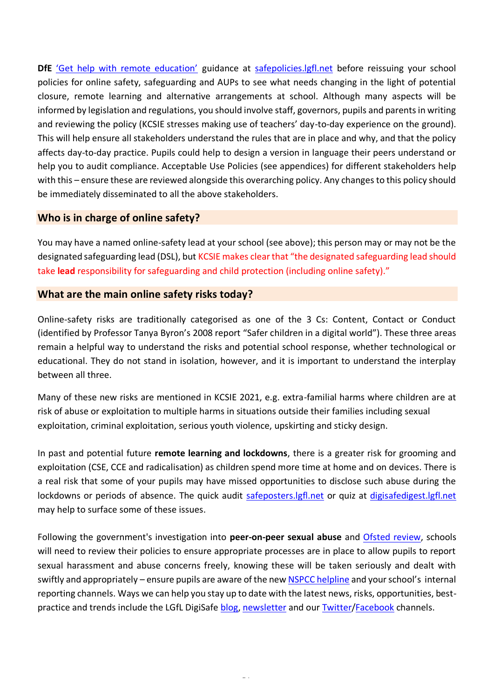DfE ['Get help with remote education'](https://get-help-with-remote-education.education.gov.uk/) guidance at [safepolicies.lgfl.net](https://safepolicies.lgfl.net/) before reissuing your school policies for online safety, safeguarding and AUPs to see what needs changing in the light of potential closure, remote learning and alternative arrangements at school. Although many aspects will be informed by legislation and regulations, you should involve staff, governors, pupils and parents in writing and reviewing the policy (KCSIE stresses making use of teachers' day-to-day experience on the ground). This will help ensure all stakeholders understand the rules that are in place and why, and that the policy affects day-to-day practice. Pupils could help to design a version in language their peers understand or help you to audit compliance. Acceptable Use Policies (see appendices) for different stakeholders help with this – ensure these are reviewed alongside this overarching policy. Any changes to this policy should be immediately disseminated to all the above stakeholders.

### <span id="page-1-0"></span>**Who is in charge of online safety?**

You may have a named online-safety lead at your school (see above); this person may or may not be the designated safeguarding lead (DSL), but KCSIE makes clear that "the designated safeguarding lead should take **lead** responsibility for safeguarding and child protection (including online safety)."

### <span id="page-1-1"></span>**What are the main online safety risks today?**

Online-safety risks are traditionally categorised as one of the 3 Cs: Content, Contact or Conduct (identified by Professor Tanya Byron's 2008 report "Safer children in a digital world"). These three areas remain a helpful way to understand the risks and potential school response, whether technological or educational. They do not stand in isolation, however, and it is important to understand the interplay between all three.

Many of these new risks are mentioned in KCSIE 2021, e.g. extra-familial harms where children are at risk of abuse or exploitation to multiple harms in situations outside their families including sexual exploitation, criminal exploitation, serious youth violence, upskirting and sticky design.

In past and potential future **remote learning and lockdowns**, there is a greater risk for grooming and exploitation (CSE, CCE and radicalisation) as children spend more time at home and on devices. There is a real risk that some of your pupils may have missed opportunities to disclose such abuse during the lockdowns or periods of absence. The quick audit safeposters. Igfl.net or quiz at digisafedigest. Igfl.net may help to surface some of these issues.

Following the government's investigation into **peer-on-peer sexual abuse** and [Ofsted review,](https://www.gov.uk/government/publications/review-of-sexual-abuse-in-schools-and-colleges/review-of-sexual-abuse-in-schools-and-colleges) schools will need to review their policies to ensure appropriate processes are in place to allow pupils to report sexual harassment and abuse concerns freely, knowing these will be taken seriously and dealt with swiftly and appropriately – ensure pupils are aware of the ne[w NSPCC helpline](https://www.nspcc.org.uk/about-us/news-opinion/2021/sexual-abuse-victims-schools-helpline/) and your school's internal reporting channels. Ways we can help you stay up to date with the latest news, risks, opportunities, bestpractice and trends include the LGfL DigiSafe [blog,](https://safeblog.lgfl.net/) [newsletter](https://safenewsletter.lgfl.net/) and our [Twitter](https://twitter.com/lgfldigisafe)[/Facebook](https://www.facebook.com/lgfldigisafe/) channels.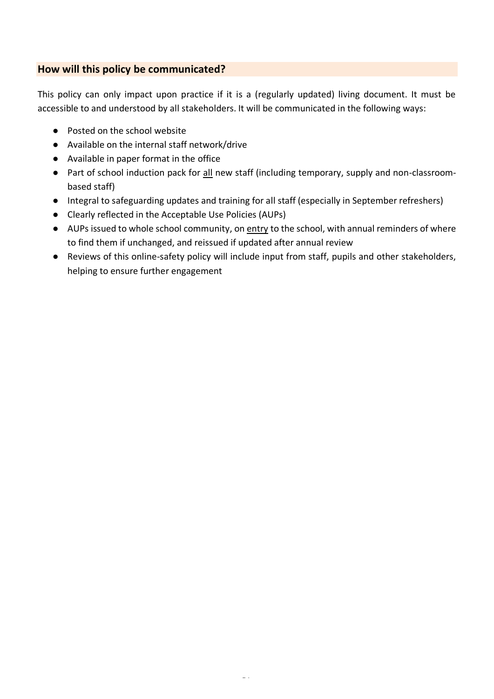### <span id="page-2-0"></span>**How will this policy be communicated?**

This policy can only impact upon practice if it is a (regularly updated) living document. It must be accessible to and understood by all stakeholders. It will be communicated in the following ways:

- Posted on the school website
- Available on the internal staff network/drive
- Available in paper format in the office
- Part of school induction pack for all new staff (including temporary, supply and non-classroombased staff)
- Integral to safeguarding updates and training for all staff (especially in September refreshers)
- Clearly reflected in the Acceptable Use Policies (AUPs)
- AUPs issued to whole school community, on entry to the school, with annual reminders of where to find them if unchanged, and reissued if updated after annual review
- Reviews of this online-safety policy will include input from staff, pupils and other stakeholders, helping to ensure further engagement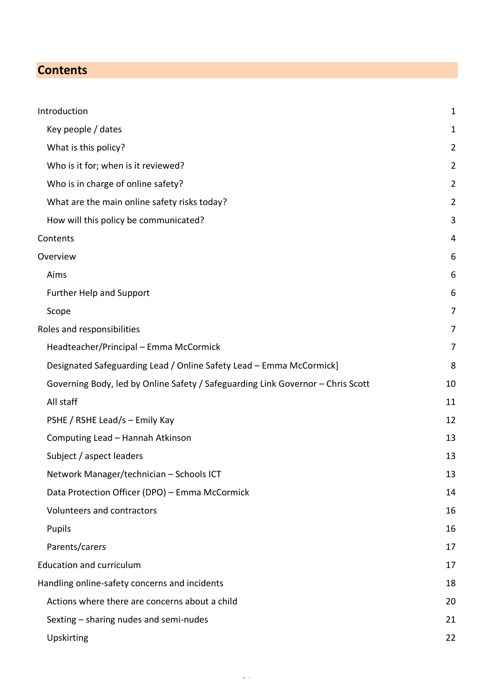# <span id="page-3-0"></span>**Contents**

| Introduction                                                                    | $\mathbf 1$    |
|---------------------------------------------------------------------------------|----------------|
| Key people / dates                                                              | 1              |
| What is this policy?                                                            | $\overline{2}$ |
| Who is it for; when is it reviewed?                                             | $\overline{2}$ |
| Who is in charge of online safety?                                              | $\overline{2}$ |
| What are the main online safety risks today?                                    | $\overline{c}$ |
| How will this policy be communicated?                                           | 3              |
| Contents                                                                        | 4              |
| Overview                                                                        | 6              |
| Aims                                                                            | 6              |
| <b>Further Help and Support</b>                                                 | 6              |
| Scope                                                                           | 7              |
| Roles and responsibilities                                                      | 7              |
| Headteacher/Principal - Emma McCormick                                          | 7              |
| Designated Safeguarding Lead / Online Safety Lead - Emma McCormick]             | 8              |
| Governing Body, led by Online Safety / Safeguarding Link Governor - Chris Scott | 10             |
| All staff                                                                       | 11             |
| PSHE / RSHE Lead/s - Emily Kay                                                  | 12             |
| Computing Lead - Hannah Atkinson                                                | 13             |
| Subject / aspect leaders                                                        | 13             |
| Network Manager/technician - Schools ICT                                        | 13             |
| Data Protection Officer (DPO) - Emma McCormick                                  | 14             |
| Volunteers and contractors                                                      | 16             |
| Pupils                                                                          | 16             |
| Parents/carers                                                                  | 17             |
| <b>Education and curriculum</b>                                                 | 17             |
| Handling online-safety concerns and incidents                                   | 18             |
| Actions where there are concerns about a child                                  | 20             |
| Sexting - sharing nudes and semi-nudes                                          | 21             |
| Upskirting                                                                      | 22             |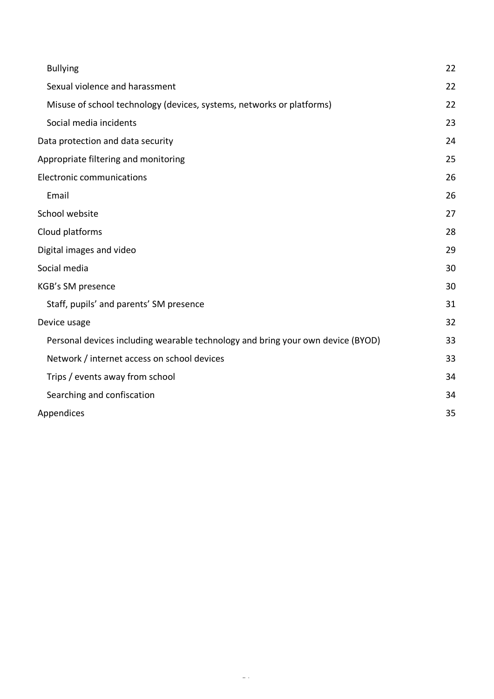| <b>Bullying</b>                                                                 | 22 |
|---------------------------------------------------------------------------------|----|
| Sexual violence and harassment                                                  | 22 |
| Misuse of school technology (devices, systems, networks or platforms)           | 22 |
| Social media incidents                                                          | 23 |
| Data protection and data security                                               | 24 |
| Appropriate filtering and monitoring                                            | 25 |
| <b>Electronic communications</b>                                                | 26 |
| Email                                                                           | 26 |
| School website                                                                  | 27 |
| Cloud platforms                                                                 | 28 |
| Digital images and video                                                        | 29 |
| Social media                                                                    | 30 |
| KGB's SM presence                                                               | 30 |
| Staff, pupils' and parents' SM presence                                         | 31 |
| Device usage                                                                    | 32 |
| Personal devices including wearable technology and bring your own device (BYOD) | 33 |
| Network / internet access on school devices                                     | 33 |
| Trips / events away from school                                                 | 34 |
| Searching and confiscation                                                      | 34 |
| Appendices                                                                      | 35 |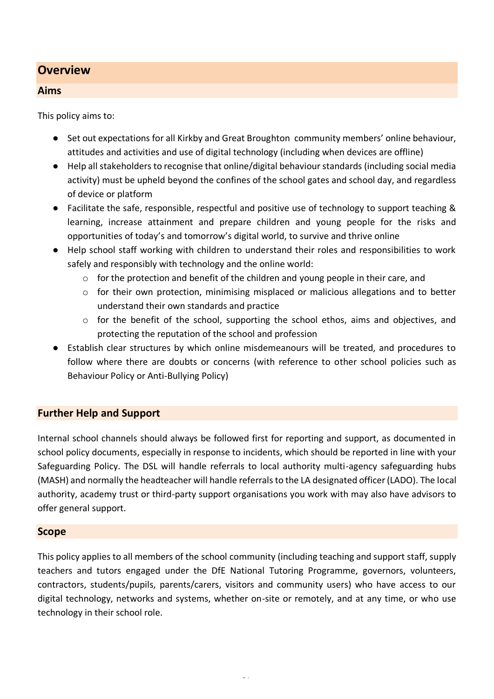### <span id="page-5-0"></span>**Overview**

#### <span id="page-5-1"></span>**Aims**

This policy aims to:

- Set out expectations for all Kirkby and Great Broughton community members' online behaviour, attitudes and activities and use of digital technology (including when devices are offline)
- Help all stakeholders to recognise that online/digital behaviour standards (including social media activity) must be upheld beyond the confines of the school gates and school day, and regardless of device or platform
- Facilitate the safe, responsible, respectful and positive use of technology to support teaching & learning, increase attainment and prepare children and young people for the risks and opportunities of today's and tomorrow's digital world, to survive and thrive online
- Help school staff working with children to understand their roles and responsibilities to work safely and responsibly with technology and the online world:
	- $\circ$  for the protection and benefit of the children and young people in their care, and
	- $\circ$  for their own protection, minimising misplaced or malicious allegations and to better understand their own standards and practice
	- $\circ$  for the benefit of the school, supporting the school ethos, aims and objectives, and protecting the reputation of the school and profession
- Establish clear structures by which online misdemeanours will be treated, and procedures to follow where there are doubts or concerns (with reference to other school policies such as Behaviour Policy or Anti-Bullying Policy)

#### <span id="page-5-2"></span>**Further Help and Support**

Internal school channels should always be followed first for reporting and support, as documented in school policy documents, especially in response to incidents, which should be reported in line with your Safeguarding Policy. The DSL will handle referrals to local authority multi-agency safeguarding hubs (MASH) and normally the headteacher will handle referrals to the LA designated officer (LADO). The local authority, academy trust or third-party support organisations you work with may also have advisors to offer general support.

#### <span id="page-5-3"></span>**Scope**

This policy applies to all members of the school community (including teaching and support staff, supply teachers and tutors engaged under the DfE National Tutoring Programme, governors, volunteers, contractors, students/pupils, parents/carers, visitors and community users) who have access to our digital technology, networks and systems, whether on-site or remotely, and at any time, or who use technology in their school role.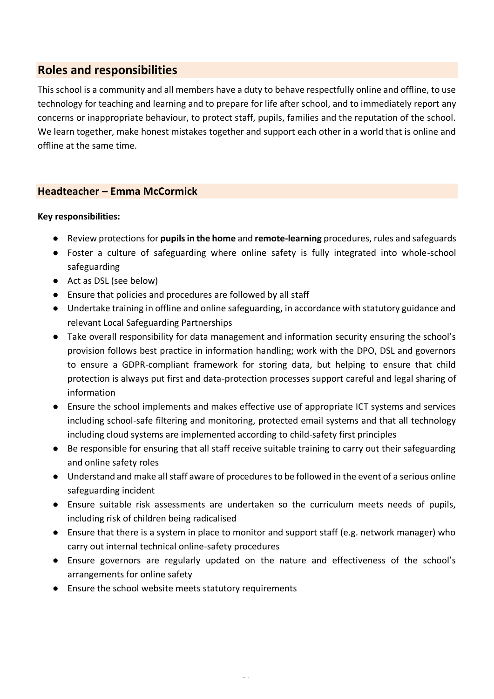# <span id="page-6-0"></span>**Roles and responsibilities**

This school is a community and all members have a duty to behave respectfully online and offline, to use technology for teaching and learning and to prepare for life after school, and to immediately report any concerns or inappropriate behaviour, to protect staff, pupils, families and the reputation of the school. We learn together, make honest mistakes together and support each other in a world that is online and offline at the same time.

### <span id="page-6-1"></span>**Headteacher – Emma McCormick**

#### **Key responsibilities:**

- Review protections for **pupils in the home** and **remote-learning** procedures, rules and safeguards
- Foster a culture of safeguarding where online safety is fully integrated into whole-school safeguarding
- Act as DSL (see below)
- Ensure that policies and procedures are followed by all staff
- Undertake training in offline and online safeguarding, in accordance with statutory guidance and relevant Local Safeguarding Partnerships
- Take overall responsibility for data management and information security ensuring the school's provision follows best practice in information handling; work with the DPO, DSL and governors to ensure a GDPR-compliant framework for storing data, but helping to ensure that child protection is always put first and data-protection processes support careful and legal sharing of information
- Ensure the school implements and makes effective use of appropriate ICT systems and services including school-safe filtering and monitoring, protected email systems and that all technology including cloud systems are implemented according to child-safety first principles
- Be responsible for ensuring that all staff receive suitable training to carry out their safeguarding and online safety roles
- Understand and make all staff aware of procedures to be followed in the event of a serious online safeguarding incident
- Ensure suitable risk assessments are undertaken so the curriculum meets needs of pupils, including risk of children being radicalised
- Ensure that there is a system in place to monitor and support staff (e.g. network manager) who carry out internal technical online-safety procedures
- Ensure governors are regularly updated on the nature and effectiveness of the school's arrangements for online safety
- Ensure the school website meets statutory requirements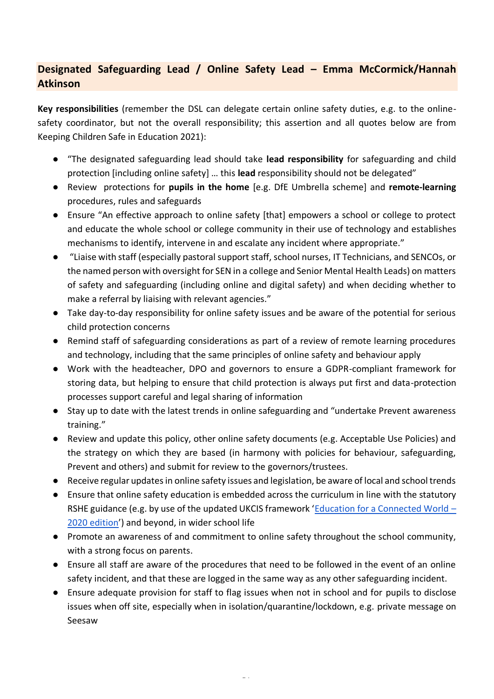# <span id="page-7-0"></span>**Designated Safeguarding Lead / Online Safety Lead – Emma McCormick/Hannah Atkinson**

**Key responsibilities** (remember the DSL can delegate certain online safety duties, e.g. to the onlinesafety coordinator, but not the overall responsibility; this assertion and all quotes below are from Keeping Children Safe in Education 2021):

- "The designated safeguarding lead should take **lead responsibility** for safeguarding and child protection [including online safety] … this **lead** responsibility should not be delegated"
- Review protections for **pupils in the home** [e.g. DfE Umbrella scheme] and **remote-learning** procedures, rules and safeguards
- Ensure "An effective approach to online safety [that] empowers a school or college to protect and educate the whole school or college community in their use of technology and establishes mechanisms to identify, intervene in and escalate any incident where appropriate."
- "Liaise with staff (especially pastoral support staff, school nurses, IT Technicians, and SENCOs, or the named person with oversight for SEN in a college and Senior Mental Health Leads) on matters of safety and safeguarding (including online and digital safety) and when deciding whether to make a referral by liaising with relevant agencies."
- Take day-to-day responsibility for online safety issues and be aware of the potential for serious child protection concerns
- Remind staff of safeguarding considerations as part of a review of remote learning procedures and technology, including that the same principles of online safety and behaviour apply
- Work with the headteacher, DPO and governors to ensure a GDPR-compliant framework for storing data, but helping to ensure that child protection is always put first and data-protection processes support careful and legal sharing of information
- Stay up to date with the latest trends in online safeguarding and "undertake Prevent awareness training."
- Review and update this policy, other online safety documents (e.g. Acceptable Use Policies) and the strategy on which they are based (in harmony with policies for behaviour, safeguarding, Prevent and others) and submit for review to the governors/trustees.
- Receive regular updates in online safety issues and legislation, be aware of local and school trends
- Ensure that online safety education is embedded across the curriculum in line with the statutory RSHE guidance (e.g. by use of the updated UKCIS framework '[Education for a Connected World](https://assets.publishing.service.gov.uk/government/uploads/system/uploads/attachment_data/file/896323/UKCIS_Education_for_a_Connected_World_.pdf) – [2020 edition](https://assets.publishing.service.gov.uk/government/uploads/system/uploads/attachment_data/file/896323/UKCIS_Education_for_a_Connected_World_.pdf)') and beyond, in wider school life
- Promote an awareness of and commitment to online safety throughout the school community, with a strong focus on parents.
- Ensure all staff are aware of the procedures that need to be followed in the event of an online safety incident, and that these are logged in the same way as any other safeguarding incident.
- Ensure adequate provision for staff to flag issues when not in school and for pupils to disclose issues when off site, especially when in isolation/quarantine/lockdown, e.g. private message on Seesaw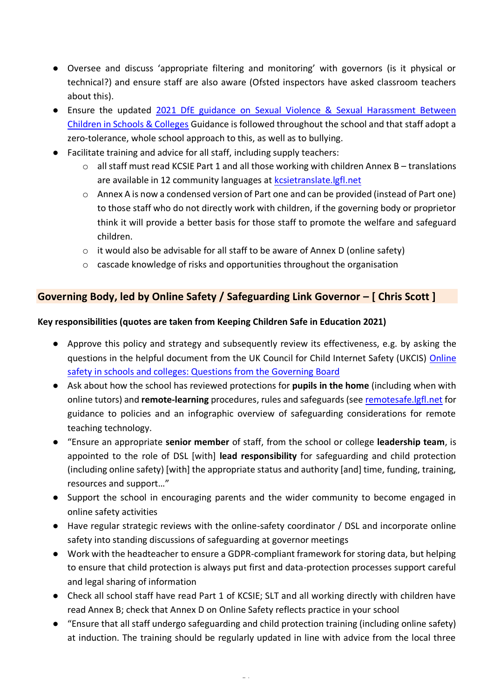- Oversee and discuss 'appropriate filtering and monitoring' with governors (is it physical or technical?) and ensure staff are also aware (Ofsted inspectors have asked classroom teachers about this).
- Ensure the updated [2021 DfE guidance on Sexual Violence & Sexual Harassment Between](https://www.gov.uk/government/publications/sexual-violence-and-sexual-harassment-between-children-in-schools-and-colleges)  [Children in Schools & Colleges](https://www.gov.uk/government/publications/sexual-violence-and-sexual-harassment-between-children-in-schools-and-colleges) Guidance is followed throughout the school and that staff adopt a zero-tolerance, whole school approach to this, as well as to bullying.
- Facilitate training and advice for all staff, including supply teachers:
	- $\circ$  all staff must read KCSIE Part 1 and all those working with children Annex B translations are available in 12 community languages at [kcsietranslate.lgfl.net](https://national.lgfl.net/digisafe/kcsietranslate)
	- o Annex A is now a condensed version of Part one and can be provided (instead of Part one) to those staff who do not directly work with children, if the governing body or proprietor think it will provide a better basis for those staff to promote the welfare and safeguard children.
	- o it would also be advisable for all staff to be aware of Annex D (online safety)
	- o cascade knowledge of risks and opportunities throughout the organisation

### <span id="page-8-0"></span>**Governing Body, led by Online Safety / Safeguarding Link Governor – [ Chris Scott ]**

### **Key responsibilities (quotes are taken from Keeping Children Safe in Education 2021)**

- Approve this policy and strategy and subsequently review its effectiveness, e.g. by asking the questions in the helpful document from the UK Council for Child Internet Safety (UKCIS) [Online](https://assets.publishing.service.gov.uk/government/uploads/system/uploads/attachment_data/file/562876/Guidance_for_School_Governors_-_Question_list.pdf)  [safety in schools and colleges: Questions from the Governing Board](https://assets.publishing.service.gov.uk/government/uploads/system/uploads/attachment_data/file/562876/Guidance_for_School_Governors_-_Question_list.pdf)
- Ask about how the school has reviewed protections for **pupils in the home** (including when with online tutors) and **remote-learning** procedures, rules and safeguards (see [remotesafe.lgfl.net](https://national.lgfl.net/digisafe/safe-remote-learning) for guidance to policies and an infographic overview of safeguarding considerations for remote teaching technology.
- "Ensure an appropriate **senior member** of staff, from the school or college **leadership team**, is appointed to the role of DSL [with] **lead responsibility** for safeguarding and child protection (including online safety) [with] the appropriate status and authority [and] time, funding, training, resources and support…"
- Support the school in encouraging parents and the wider community to become engaged in online safety activities
- Have regular strategic reviews with the online-safety coordinator / DSL and incorporate online safety into standing discussions of safeguarding at governor meetings
- Work with the headteacher to ensure a GDPR-compliant framework for storing data, but helping to ensure that child protection is always put first and data-protection processes support careful and legal sharing of information
- Check all school staff have read Part 1 of KCSIE; SLT and all working directly with children have read Annex B; check that Annex D on Online Safety reflects practice in your school
- "Ensure that all staff undergo safeguarding and child protection training (including online safety) at induction. The training should be regularly updated in line with advice from the local three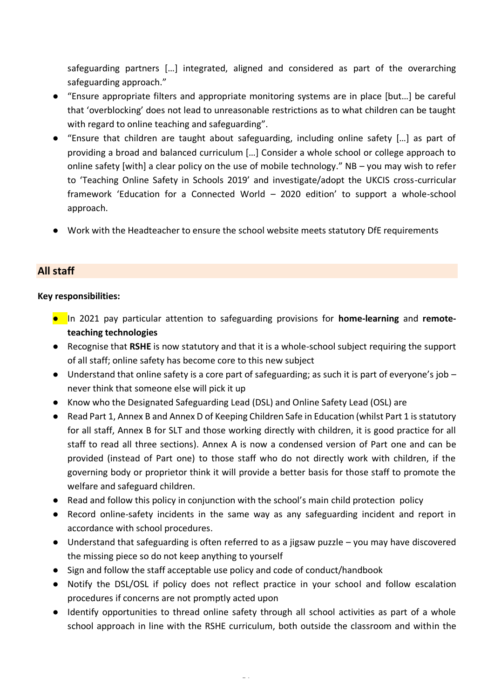safeguarding partners […] integrated, aligned and considered as part of the overarching safeguarding approach."

- "Ensure appropriate filters and appropriate monitoring systems are in place [but…] be careful that 'overblocking' does not lead to unreasonable restrictions as to what children can be taught with regard to online teaching and safeguarding".
- "Ensure that children are taught about safeguarding, including online safety […] as part of providing a broad and balanced curriculum […] Consider a whole school or college approach to online safety [with] a clear policy on the use of mobile technology." NB – you may wish to refer to 'Teaching Online Safety in Schools 2019' and investigate/adopt the UKCIS cross-curricular framework 'Education for a Connected World – 2020 edition' to support a whole-school approach.
- Work with the Headteacher to ensure the school website meets statutory DfE requirements

### <span id="page-9-0"></span>**All staff**

#### **Key responsibilities:**

- In 2021 pay particular attention to safeguarding provisions for **home-learning** and **remoteteaching technologies**
- Recognise that **RSHE** is now statutory and that it is a whole-school subject requiring the support of all staff; online safety has become core to this new subject
- $\bullet$  Understand that online safety is a core part of safeguarding; as such it is part of everyone's job  $$ never think that someone else will pick it up
- Know who the Designated Safeguarding Lead (DSL) and Online Safety Lead (OSL) are
- Read Part 1, Annex B and Annex D of Keeping Children Safe in Education (whilst Part 1 is statutory for all staff, Annex B for SLT and those working directly with children, it is good practice for all staff to read all three sections). Annex A is now a condensed version of Part one and can be provided (instead of Part one) to those staff who do not directly work with children, if the governing body or proprietor think it will provide a better basis for those staff to promote the welfare and safeguard children.
- Read and follow this policy in conjunction with the school's main child protection policy
- Record online-safety incidents in the same way as any safeguarding incident and report in accordance with school procedures.
- Understand that safeguarding is often referred to as a jigsaw puzzle you may have discovered the missing piece so do not keep anything to yourself
- Sign and follow the staff acceptable use policy and code of conduct/handbook
- Notify the DSL/OSL if policy does not reflect practice in your school and follow escalation procedures if concerns are not promptly acted upon
- Identify opportunities to thread online safety through all school activities as part of a whole school approach in line with the RSHE curriculum, both outside the classroom and within the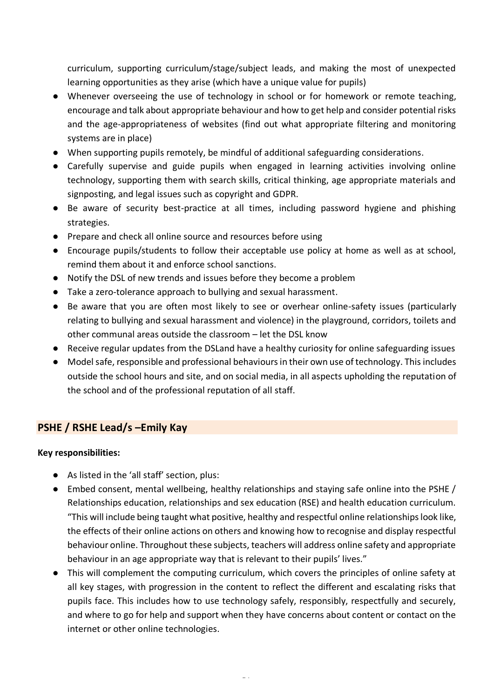curriculum, supporting curriculum/stage/subject leads, and making the most of unexpected learning opportunities as they arise (which have a unique value for pupils)

- Whenever overseeing the use of technology in school or for homework or remote teaching, encourage and talk about appropriate behaviour and how to get help and consider potential risks and the age-appropriateness of websites (find out what appropriate filtering and monitoring systems are in place)
- When supporting pupils remotely, be mindful of additional safeguarding considerations.
- Carefully supervise and guide pupils when engaged in learning activities involving online technology, supporting them with search skills, critical thinking, age appropriate materials and signposting, and legal issues such as copyright and GDPR.
- Be aware of security best-practice at all times, including password hygiene and phishing strategies.
- Prepare and check all online source and resources before using
- Encourage pupils/students to follow their acceptable use policy at home as well as at school, remind them about it and enforce school sanctions.
- Notify the DSL of new trends and issues before they become a problem
- Take a zero-tolerance approach to bullying and sexual harassment.
- Be aware that you are often most likely to see or overhear online-safety issues (particularly relating to bullying and sexual harassment and violence) in the playground, corridors, toilets and other communal areas outside the classroom – let the DSL know
- Receive regular updates from the DSLand have a healthy curiosity for online safeguarding issues
- Model safe, responsible and professional behaviours in their own use of technology. This includes outside the school hours and site, and on social media, in all aspects upholding the reputation of the school and of the professional reputation of all staff.

### <span id="page-10-0"></span>**PSHE / RSHE Lead/s –Emily Kay**

#### **Key responsibilities:**

- As listed in the 'all staff' section, plus:
- Embed consent, mental wellbeing, healthy relationships and staying safe online into the PSHE / Relationships education, relationships and sex education (RSE) and health education curriculum. "This will include being taught what positive, healthy and respectful online relationships look like, the effects of their online actions on others and knowing how to recognise and display respectful behaviour online. Throughout these subjects, teachers will address online safety and appropriate behaviour in an age appropriate way that is relevant to their pupils' lives."
- This will complement the computing curriculum, which covers the principles of online safety at all key stages, with progression in the content to reflect the different and escalating risks that pupils face. This includes how to use technology safely, responsibly, respectfully and securely, and where to go for help and support when they have concerns about content or contact on the internet or other online technologies.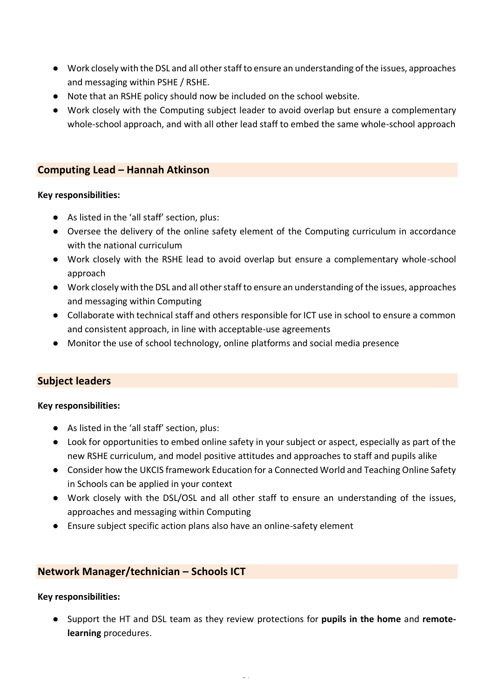- Work closely with the DSL and all other staff to ensure an understanding of the issues, approaches and messaging within PSHE / RSHE.
- Note that an RSHE policy should now be included on the school website.
- Work closely with the Computing subject leader to avoid overlap but ensure a complementary whole-school approach, and with all other lead staff to embed the same whole-school approach

### <span id="page-11-0"></span>**Computing Lead – Hannah Atkinson**

#### **Key responsibilities:**

- As listed in the 'all staff' section, plus:
- Oversee the delivery of the online safety element of the Computing curriculum in accordance with the national curriculum
- Work closely with the RSHE lead to avoid overlap but ensure a complementary whole-school approach
- Work closely with the DSL and all other staff to ensure an understanding of the issues, approaches and messaging within Computing
- Collaborate with technical staff and others responsible for ICT use in school to ensure a common and consistent approach, in line with acceptable-use agreements
- Monitor the use of school technology, online platforms and social media presence

### <span id="page-11-1"></span>**Subject leaders**

#### **Key responsibilities:**

- As listed in the 'all staff' section, plus:
- Look for opportunities to embed online safety in your subject or aspect, especially as part of the new RSHE curriculum, and model positive attitudes and approaches to staff and pupils alike
- Consider how the UKCIS framework Education for a Connected World and Teaching Online Safety in Schools can be applied in your context
- Work closely with the DSL/OSL and all other staff to ensure an understanding of the issues, approaches and messaging within Computing
- Ensure subject specific action plans also have an online-safety element

### <span id="page-11-2"></span>**Network Manager/technician – Schools ICT**

#### **Key responsibilities:**

● Support the HT and DSL team as they review protections for **pupils in the home** and **remotelearning** procedures.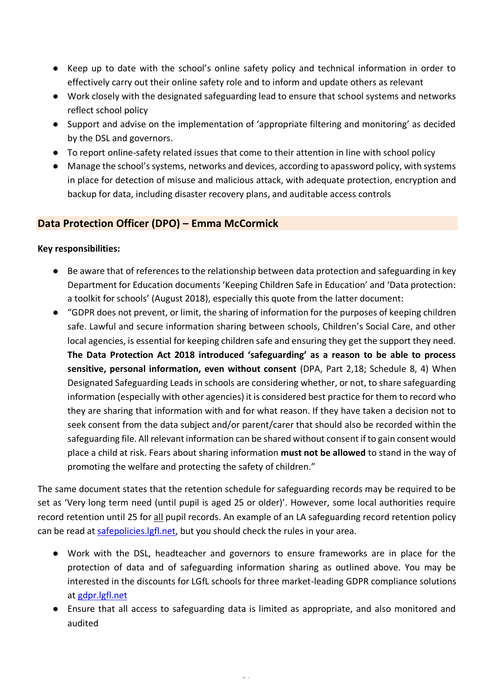- Keep up to date with the school's online safety policy and technical information in order to effectively carry out their online safety role and to inform and update others as relevant
- Work closely with the designated safeguarding lead to ensure that school systems and networks reflect school policy
- Support and advise on the implementation of 'appropriate filtering and monitoring' as decided by the DSL and governors.
- To report online-safety related issues that come to their attention in line with school policy
- Manage the school's systems, networks and devices, according to apassword policy, with systems in place for detection of misuse and malicious attack, with adequate protection, encryption and backup for data, including disaster recovery plans, and auditable access controls

### <span id="page-12-0"></span>**Data Protection Officer (DPO) – Emma McCormick**

#### **Key responsibilities:**

- Be aware that of references to the relationship between data protection and safeguarding in key Department for Education documents 'Keeping Children Safe in Education' and 'Data protection: a toolkit for schools' (August 2018), especially this quote from the latter document:
- "GDPR does not prevent, or limit, the sharing of information for the purposes of keeping children safe. Lawful and secure information sharing between schools, Children's Social Care, and other local agencies, is essential for keeping children safe and ensuring they get the support they need. **The Data Protection Act 2018 introduced 'safeguarding' as a reason to be able to process sensitive, personal information, even without consent** (DPA, Part 2,18; Schedule 8, 4) When Designated Safeguarding Leads in schools are considering whether, or not, to share safeguarding information (especially with other agencies) it is considered best practice for them to record who they are sharing that information with and for what reason. If they have taken a decision not to seek consent from the data subject and/or parent/carer that should also be recorded within the safeguarding file. All relevant information can be shared without consent if to gain consent would place a child at risk. Fears about sharing information **must not be allowed** to stand in the way of promoting the welfare and protecting the safety of children."

The same document states that the retention schedule for safeguarding records may be required to be set as 'Very long term need (until pupil is aged 25 or older)'. However, some local authorities require record retention until 25 for all pupil records. An example of an LA safeguarding record retention policy can be read at [safepolicies.lgfl.net,](https://safepolicies.lgfl.net/) but you should check the rules in your area.

- Work with the DSL, headteacher and governors to ensure frameworks are in place for the protection of data and of safeguarding information sharing as outlined above. You may be interested in the discounts for LGfL schools for three market-leading GDPR compliance solutions at [gdpr.lgfl.net](https://gdpr.lgfl.net/)
- Ensure that all access to safeguarding data is limited as appropriate, and also monitored and audited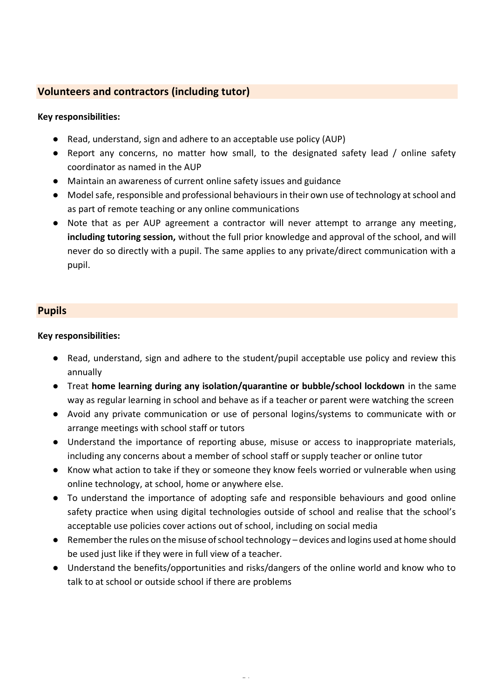### <span id="page-13-0"></span>**Volunteers and contractors (including tutor)**

#### **Key responsibilities:**

- Read, understand, sign and adhere to an acceptable use policy (AUP)
- Report any concerns, no matter how small, to the designated safety lead / online safety coordinator as named in the AUP
- Maintain an awareness of current online safety issues and guidance
- Model safe, responsible and professional behaviours in their own use of technology at school and as part of remote teaching or any online communications
- Note that as per AUP agreement a contractor will never attempt to arrange any meeting, **including tutoring session,** without the full prior knowledge and approval of the school, and will never do so directly with a pupil. The same applies to any private/direct communication with a pupil.

#### <span id="page-13-1"></span>**Pupils**

#### **Key responsibilities:**

- Read, understand, sign and adhere to the student/pupil acceptable use policy and review this annually
- Treat **home learning during any isolation/quarantine or bubble/school lockdown** in the same way as regular learning in school and behave as if a teacher or parent were watching the screen
- Avoid any private communication or use of personal logins/systems to communicate with or arrange meetings with school staff or tutors
- Understand the importance of reporting abuse, misuse or access to inappropriate materials, including any concerns about a member of school staff or supply teacher or online tutor
- Know what action to take if they or someone they know feels worried or vulnerable when using online technology, at school, home or anywhere else.
- To understand the importance of adopting safe and responsible behaviours and good online safety practice when using digital technologies outside of school and realise that the school's acceptable use policies cover actions out of school, including on social media
- Remember the rules on the misuse of school technology devices and logins used at home should be used just like if they were in full view of a teacher.
- Understand the benefits/opportunities and risks/dangers of the online world and know who to talk to at school or outside school if there are problems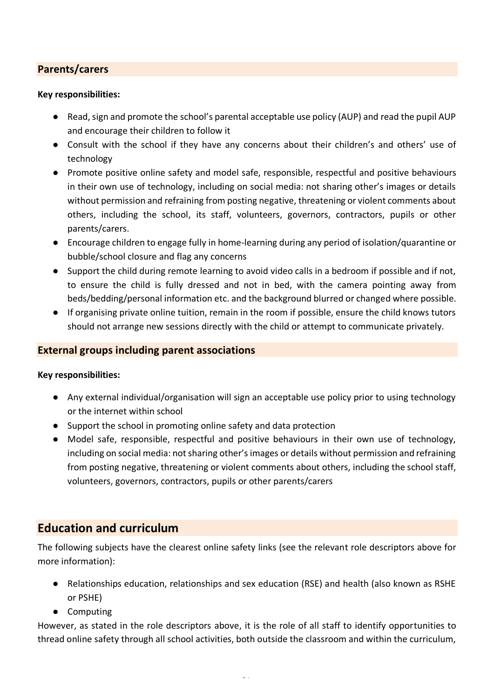### <span id="page-14-0"></span>**Parents/carers**

#### **Key responsibilities:**

- Read, sign and promote the school's parental acceptable use policy (AUP) and read the pupil AUP and encourage their children to follow it
- Consult with the school if they have any concerns about their children's and others' use of technology
- Promote positive online safety and model safe, responsible, respectful and positive behaviours in their own use of technology, including on social media: not sharing other's images or details without permission and refraining from posting negative, threatening or violent comments about others, including the school, its staff, volunteers, governors, contractors, pupils or other parents/carers.
- Encourage children to engage fully in home-learning during any period of isolation/quarantine or bubble/school closure and flag any concerns
- Support the child during remote learning to avoid video calls in a bedroom if possible and if not, to ensure the child is fully dressed and not in bed, with the camera pointing away from beds/bedding/personal information etc. and the background blurred or changed where possible.
- If organising private online tuition, remain in the room if possible, ensure the child knows tutors should not arrange new sessions directly with the child or attempt to communicate privately.

### **External groups including parent associations**

#### **Key responsibilities:**

- Any external individual/organisation will sign an acceptable use policy prior to using technology or the internet within school
- Support the school in promoting online safety and data protection
- Model safe, responsible, respectful and positive behaviours in their own use of technology, including on social media: not sharing other's images or details without permission and refraining from posting negative, threatening or violent comments about others, including the school staff, volunteers, governors, contractors, pupils or other parents/carers

### <span id="page-14-1"></span>**Education and curriculum**

The following subjects have the clearest online safety links (see the relevant role descriptors above for more information):

- Relationships education, relationships and sex education (RSE) and health (also known as RSHE or PSHE)
- Computing

However, as stated in the role descriptors above, it is the role of all staff to identify opportunities to thread online safety through all school activities, both outside the classroom and within the curriculum,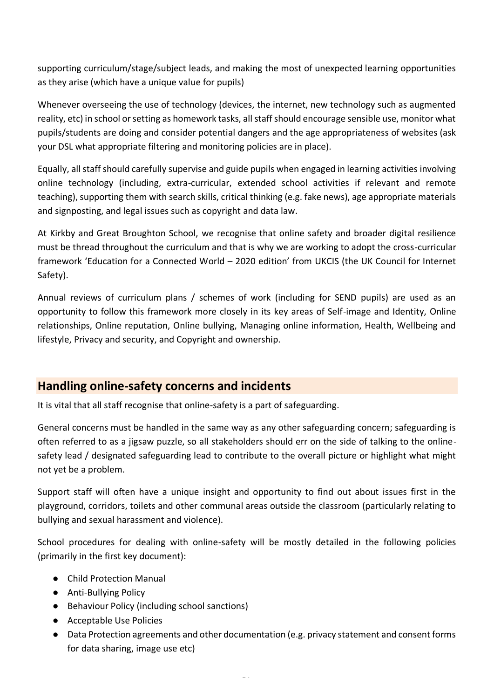supporting curriculum/stage/subject leads, and making the most of unexpected learning opportunities as they arise (which have a unique value for pupils)

Whenever overseeing the use of technology (devices, the internet, new technology such as augmented reality, etc) in school or setting as homework tasks, all staff should encourage sensible use, monitor what pupils/students are doing and consider potential dangers and the age appropriateness of websites (ask your DSL what appropriate filtering and monitoring policies are in place).

Equally, all staff should carefully supervise and guide pupils when engaged in learning activities involving online technology (including, extra-curricular, extended school activities if relevant and remote teaching), supporting them with search skills, critical thinking (e.g. fake news), age appropriate materials and signposting, and legal issues such as copyright and data law.

At Kirkby and Great Broughton School, we recognise that online safety and broader digital resilience must be thread throughout the curriculum and that is why we are working to adopt the cross-curricular framework 'Education for a Connected World – 2020 edition' from UKCIS (the UK Council for Internet Safety).

Annual reviews of curriculum plans / schemes of work (including for SEND pupils) are used as an opportunity to follow this framework more closely in its key areas of Self-image and Identity, Online relationships, Online reputation, Online bullying, Managing online information, Health, Wellbeing and lifestyle, Privacy and security, and Copyright and ownership.

# <span id="page-15-0"></span>**Handling online-safety concerns and incidents**

It is vital that all staff recognise that online-safety is a part of safeguarding.

General concerns must be handled in the same way as any other safeguarding concern; safeguarding is often referred to as a jigsaw puzzle, so all stakeholders should err on the side of talking to the onlinesafety lead / designated safeguarding lead to contribute to the overall picture or highlight what might not yet be a problem.

Support staff will often have a unique insight and opportunity to find out about issues first in the playground, corridors, toilets and other communal areas outside the classroom (particularly relating to bullying and sexual harassment and violence).

School procedures for dealing with online-safety will be mostly detailed in the following policies (primarily in the first key document):

- Child Protection Manual
- Anti-Bullying Policy
- Behaviour Policy (including school sanctions)
- Acceptable Use Policies
- Data Protection agreements and other documentation (e.g. privacy statement and consent forms for data sharing, image use etc)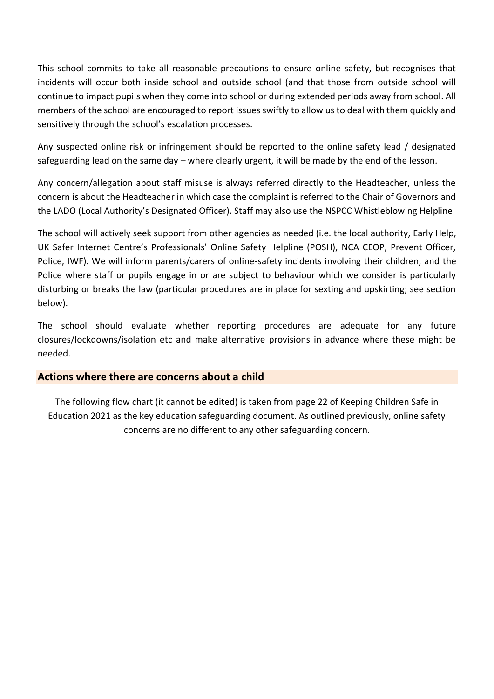This school commits to take all reasonable precautions to ensure online safety, but recognises that incidents will occur both inside school and outside school (and that those from outside school will continue to impact pupils when they come into school or during extended periods away from school. All members of the school are encouraged to report issues swiftly to allow us to deal with them quickly and sensitively through the school's escalation processes.

Any suspected online risk or infringement should be reported to the online safety lead / designated safeguarding lead on the same day – where clearly urgent, it will be made by the end of the lesson.

Any concern/allegation about staff misuse is always referred directly to the Headteacher, unless the concern is about the Headteacher in which case the complaint is referred to the Chair of Governors and the LADO (Local Authority's Designated Officer). Staff may also use the NSPCC Whistleblowing Helpline

The school will actively seek support from other agencies as needed (i.e. the local authority, Early Help, UK Safer Internet Centre's Professionals' Online Safety Helpline (POSH), NCA CEOP, Prevent Officer, Police, IWF). We will inform parents/carers of online-safety incidents involving their children, and the Police where staff or pupils engage in or are subject to behaviour which we consider is particularly disturbing or breaks the law (particular procedures are in place for sexting and upskirting; see section below).

The school should evaluate whether reporting procedures are adequate for any future closures/lockdowns/isolation etc and make alternative provisions in advance where these might be needed.

#### <span id="page-16-0"></span>**Actions where there are concerns about a child**

The following flow chart (it cannot be edited) is taken from page 22 of Keeping Children Safe in Education 2021 as the key education safeguarding document. As outlined previously, online safety concerns are no different to any other safeguarding concern.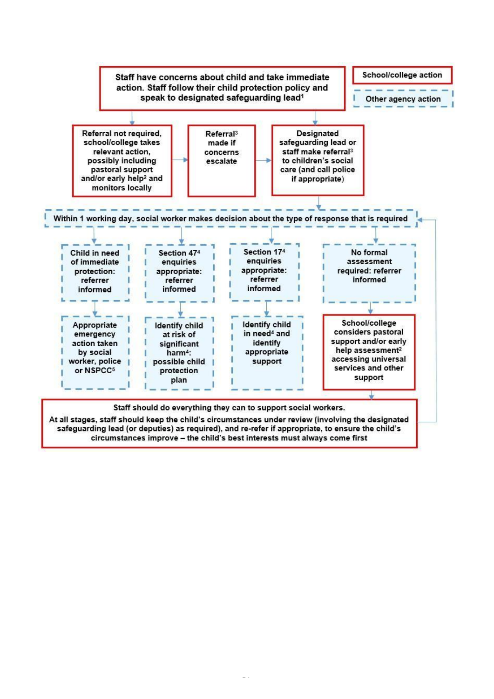

safeguarding lead (or deputies) as required), and re-refer if appropriate, to ensure the child's circumstances improve - the child's best interests must always come first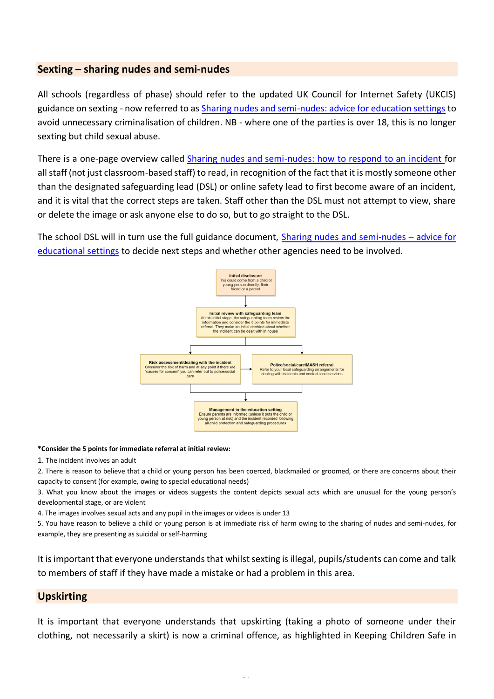#### <span id="page-18-0"></span>**Sexting – sharing nudes and semi-nudes**

All schools (regardless of phase) should refer to the updated UK Council for Internet Safety (UKCIS) guidance on sexting - now referred to as [Sharing nudes and semi-nudes: advice for education settings](https://www.gov.uk/government/publications/sharing-nudes-and-semi-nudes-advice-for-education-settings-working-with-children-and-young-people) to avoid unnecessary criminalisation of children. NB - where one of the parties is over 18, this is no longer sexting but child sexual abuse.

There is a one-page overview called [Sharing nudes and semi-nudes: how to respond to an incident f](https://assets.publishing.service.gov.uk/government/uploads/system/uploads/attachment_data/file/947546/Sharing_nudes_and_semi_nudes_how_to_respond_to_an_incident_Summary_V2.pdf)or all staff (not just classroom-based staff) to read, in recognition of the fact that it is mostly someone other than the designated safeguarding lead (DSL) or online safety lead to first become aware of an incident, and it is vital that the correct steps are taken. Staff other than the DSL must not attempt to view, share or delete the image or ask anyone else to do so, but to go straight to the DSL.

The school DSL will in turn use the full guidance document, [Sharing nudes and semi-nudes](https://assets.publishing.service.gov.uk/government/uploads/system/uploads/attachment_data/file/947545/UKCIS_sharing_nudes_and_semi_nudes_advice_for_education_settings_V2.pdf) – advice for [educational settings](https://assets.publishing.service.gov.uk/government/uploads/system/uploads/attachment_data/file/947545/UKCIS_sharing_nudes_and_semi_nudes_advice_for_education_settings_V2.pdf) to decide next steps and whether other agencies need to be involved.



#### **\*Consider the 5 points for immediate referral at initial review:**

1. The incident involves an adult

2. There is reason to believe that a child or young person has been coerced, blackmailed or groomed, or there are concerns about their capacity to consent (for example, owing to special educational needs)

3. What you know about the images or videos suggests the content depicts sexual acts which are unusual for the young person's developmental stage, or are violent

4. The images involves sexual acts and any pupil in the images or videos is under 13

5. You have reason to believe a child or young person is at immediate risk of harm owing to the sharing of nudes and semi-nudes, for example, they are presenting as suicidal or self-harming

It is important that everyone understands that whilst sexting is illegal, pupils/students can come and talk to members of staff if they have made a mistake or had a problem in this area.

#### <span id="page-18-1"></span>**Upskirting**

It is important that everyone understands that upskirting (taking a photo of someone under their clothing, not necessarily a skirt) is now a criminal offence, as highlighted in Keeping Children Safe in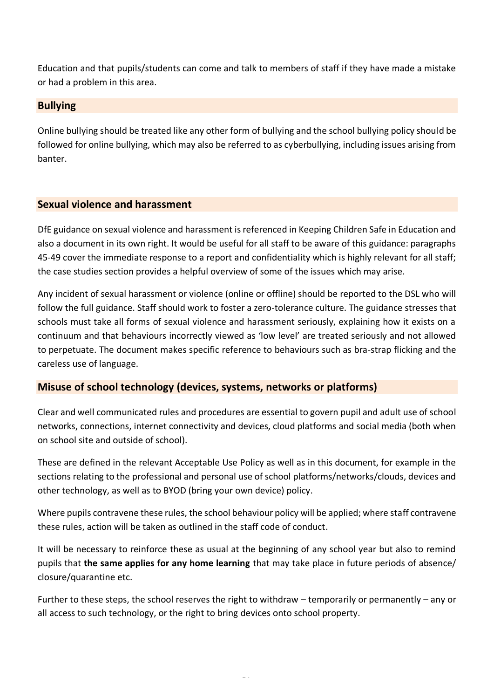Education and that pupils/students can come and talk to members of staff if they have made a mistake or had a problem in this area.

### <span id="page-19-0"></span>**Bullying**

Online bullying should be treated like any other form of bullying and the school bullying policy should be followed for online bullying, which may also be referred to as cyberbullying, including issues arising from banter.

### <span id="page-19-1"></span>**Sexual violence and harassment**

DfE guidance on sexual violence and harassment is referenced in Keeping Children Safe in Education and also a document in its own right. It would be useful for all staff to be aware of this guidance: paragraphs 45-49 cover the immediate response to a report and confidentiality which is highly relevant for all staff; the case studies section provides a helpful overview of some of the issues which may arise.

Any incident of sexual harassment or violence (online or offline) should be reported to the DSL who will follow the full guidance. Staff should work to foster a zero-tolerance culture. The guidance stresses that schools must take all forms of sexual violence and harassment seriously, explaining how it exists on a continuum and that behaviours incorrectly viewed as 'low level' are treated seriously and not allowed to perpetuate. The document makes specific reference to behaviours such as bra-strap flicking and the careless use of language.

### <span id="page-19-2"></span>**Misuse of school technology (devices, systems, networks or platforms)**

Clear and well communicated rules and procedures are essential to govern pupil and adult use of school networks, connections, internet connectivity and devices, cloud platforms and social media (both when on school site and outside of school).

These are defined in the relevant Acceptable Use Policy as well as in this document, for example in the sections relating to the professional and personal use of school platforms/networks/clouds, devices and other technology, as well as to BYOD (bring your own device) policy.

Where pupils contravene these rules, the school behaviour policy will be applied; where staff contravene these rules, action will be taken as outlined in the staff code of conduct.

It will be necessary to reinforce these as usual at the beginning of any school year but also to remind pupils that **the same applies for any home learning** that may take place in future periods of absence/ closure/quarantine etc.

Further to these steps, the school reserves the right to withdraw – temporarily or permanently – any or all access to such technology, or the right to bring devices onto school property.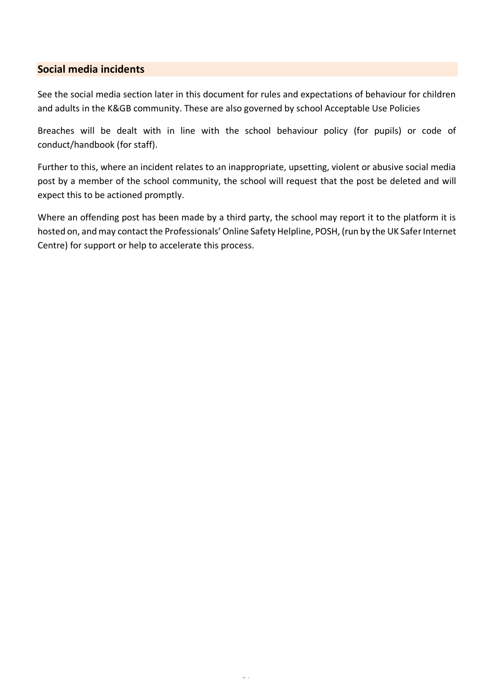### <span id="page-20-0"></span>**Social media incidents**

See the social media section later in this document for rules and expectations of behaviour for children and adults in the K&GB community. These are also governed by school Acceptable Use Policies

Breaches will be dealt with in line with the school behaviour policy (for pupils) or code of conduct/handbook (for staff).

Further to this, where an incident relates to an inappropriate, upsetting, violent or abusive social media post by a member of the school community, the school will request that the post be deleted and will expect this to be actioned promptly.

Where an offending post has been made by a third party, the school may report it to the platform it is hosted on, and may contact the Professionals' Online Safety Helpline, POSH, (run by the UK Safer Internet Centre) for support or help to accelerate this process.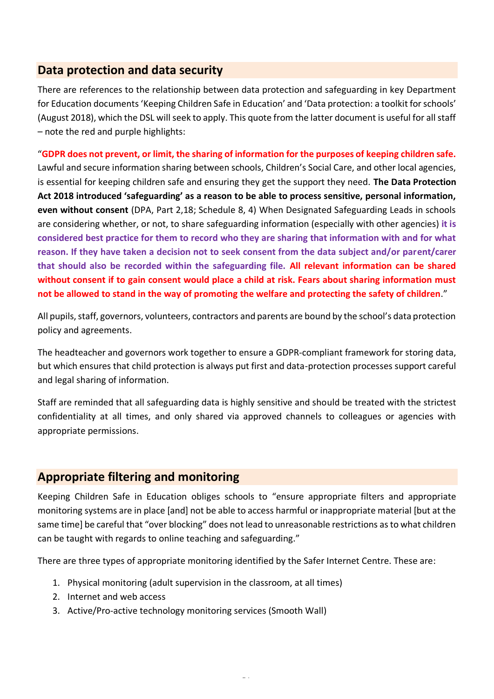### <span id="page-21-0"></span>**Data protection and data security**

There are references to the relationship between data protection and safeguarding in key Department for Education documents 'Keeping Children Safe in Education' and 'Data protection: a toolkit for schools' (August 2018), which the DSL will seek to apply. This quote from the latter document is useful for all staff – note the red and purple highlights:

"**GDPR does not prevent, or limit, the sharing of information for the purposes of keeping children safe.** Lawful and secure information sharing between schools, Children's Social Care, and other local agencies, is essential for keeping children safe and ensuring they get the support they need. **The Data Protection Act 2018 introduced 'safeguarding' as a reason to be able to process sensitive, personal information, even without consent** (DPA, Part 2,18; Schedule 8, 4) When Designated Safeguarding Leads in schools are considering whether, or not, to share safeguarding information (especially with other agencies) **it is considered best practice for them to record who they are sharing that information with and for what reason. If they have taken a decision not to seek consent from the data subject and/or parent/carer that should also be recorded within the safeguarding file. All relevant information can be shared without consent if to gain consent would place a child at risk. Fears about sharing information must not be allowed to stand in the way of promoting the welfare and protecting the safety of children**."

All pupils, staff, governors, volunteers, contractors and parents are bound by the school's data protection policy and agreements.

The headteacher and governors work together to ensure a GDPR-compliant framework for storing data, but which ensures that child protection is always put first and data-protection processes support careful and legal sharing of information.

Staff are reminded that all safeguarding data is highly sensitive and should be treated with the strictest confidentiality at all times, and only shared via approved channels to colleagues or agencies with appropriate permissions.

# <span id="page-21-1"></span>**Appropriate filtering and monitoring**

Keeping Children Safe in Education obliges schools to "ensure appropriate filters and appropriate monitoring systems are in place [and] not be able to access harmful or inappropriate material [but at the same time] be careful that "over blocking" does not lead to unreasonable restrictions as to what children can be taught with regards to online teaching and safeguarding."

There are three types of appropriate monitoring identified by the Safer Internet Centre. These are:

- 1. Physical monitoring (adult supervision in the classroom, at all times)
- 2. Internet and web access
- 3. Active/Pro-active technology monitoring services (Smooth Wall)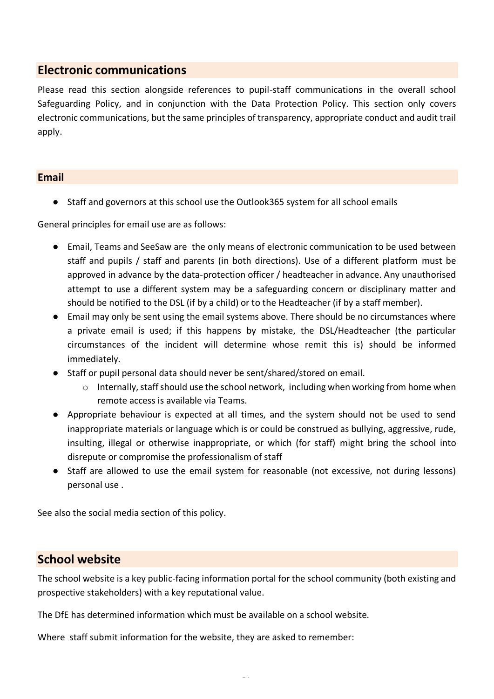### <span id="page-22-0"></span>**Electronic communications**

Please read this section alongside references to pupil-staff communications in the overall school Safeguarding Policy, and in conjunction with the Data Protection Policy. This section only covers electronic communications, but the same principles of transparency, appropriate conduct and audit trail apply.

#### <span id="page-22-1"></span>**Email**

● Staff and governors at this school use the Outlook365 system for all school emails

General principles for email use are as follows:

- Email, Teams and SeeSaw are the only means of electronic communication to be used between staff and pupils / staff and parents (in both directions). Use of a different platform must be approved in advance by the data-protection officer / headteacher in advance. Any unauthorised attempt to use a different system may be a safeguarding concern or disciplinary matter and should be notified to the DSL (if by a child) or to the Headteacher (if by a staff member).
- Email may only be sent using the email systems above. There should be no circumstances where a private email is used; if this happens by mistake, the DSL/Headteacher (the particular circumstances of the incident will determine whose remit this is) should be informed immediately.
- Staff or pupil personal data should never be sent/shared/stored on email.
	- o Internally, staff should use the school network, including when working from home when remote access is available via Teams.
- Appropriate behaviour is expected at all times, and the system should not be used to send inappropriate materials or language which is or could be construed as bullying, aggressive, rude, insulting, illegal or otherwise inappropriate, or which (for staff) might bring the school into disrepute or compromise the professionalism of staff
- Staff are allowed to use the email system for reasonable (not excessive, not during lessons) personal use .

See also the social media section of this policy.

### <span id="page-22-2"></span>**School website**

The school website is a key public-facing information portal for the school community (both existing and prospective stakeholders) with a key reputational value.

The DfE has determined information which must be available on a school website.

Where staff submit information for the website, they are asked to remember: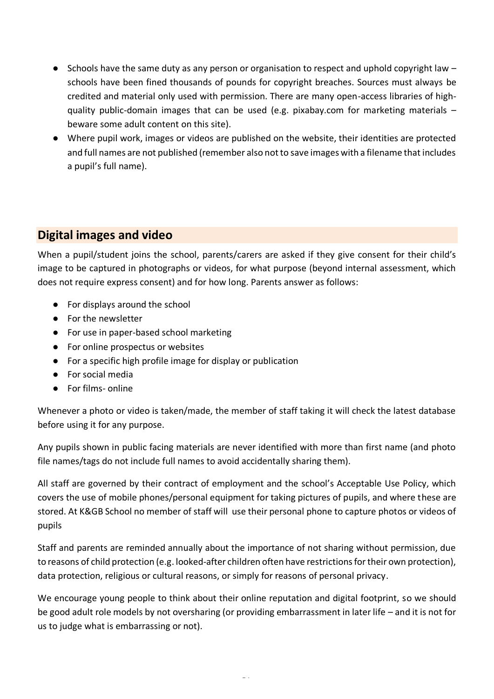- Schools have the same duty as any person or organisation to respect and uphold copyright law schools have been fined thousands of pounds for copyright breaches. Sources must always be credited and material only used with permission. There are many open-access libraries of highquality public-domain images that can be used (e.g. pixabay.com for marketing materials – beware some adult content on this site).
- Where pupil work, images or videos are published on the website, their identities are protected and full names are not published (remember also not to save images with a filename that includes a pupil's full name).

# <span id="page-23-1"></span><span id="page-23-0"></span>**Digital images and video**

When a pupil/student joins the school, parents/carers are asked if they give consent for their child's image to be captured in photographs or videos, for what purpose (beyond internal assessment, which does not require express consent) and for how long. Parents answer as follows:

- For displays around the school
- For the newsletter
- For use in paper-based school marketing
- For online prospectus or websites
- For a specific high profile image for display or publication
- For social media
- For films- online

Whenever a photo or video is taken/made, the member of staff taking it will check the latest database before using it for any purpose.

Any pupils shown in public facing materials are never identified with more than first name (and photo file names/tags do not include full names to avoid accidentally sharing them).

All staff are governed by their contract of employment and the school's Acceptable Use Policy, which covers the use of mobile phones/personal equipment for taking pictures of pupils, and where these are stored. At K&GB School no member of staff will use their personal phone to capture photos or videos of pupils

Staff and parents are reminded annually about the importance of not sharing without permission, due to reasons of child protection (e.g. looked-after children often have restrictions for their own protection), data protection, religious or cultural reasons, or simply for reasons of personal privacy.

We encourage young people to think about their online reputation and digital footprint, so we should be good adult role models by not oversharing (or providing embarrassment in later life – and it is not for us to judge what is embarrassing or not).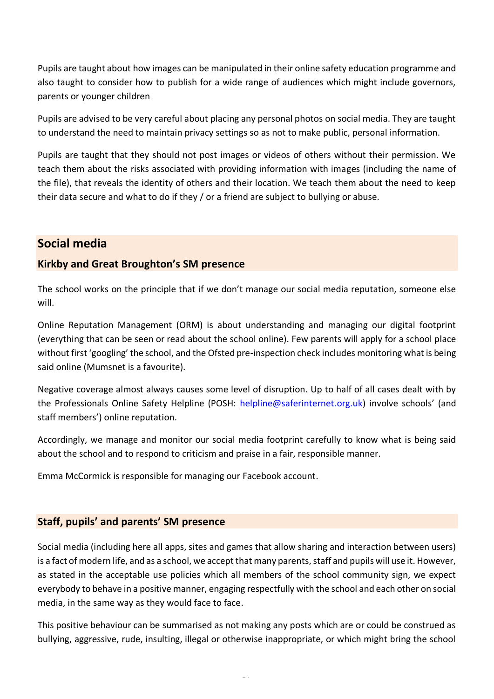Pupils are taught about how images can be manipulated in their online safety education programme and also taught to consider how to publish for a wide range of audiences which might include governors, parents or younger children

Pupils are advised to be very careful about placing any personal photos on social media. They are taught to understand the need to maintain privacy settings so as not to make public, personal information.

Pupils are taught that they should not post images or videos of others without their permission. We teach them about the risks associated with providing information with images (including the name of the file), that reveals the identity of others and their location. We teach them about the need to keep their data secure and what to do if they / or a friend are subject to bullying or abuse.

# <span id="page-24-0"></span>**Social media**

### <span id="page-24-1"></span>**Kirkby and Great Broughton's SM presence**

The school works on the principle that if we don't manage our social media reputation, someone else will.

Online Reputation Management (ORM) is about understanding and managing our digital footprint (everything that can be seen or read about the school online). Few parents will apply for a school place without first 'googling' the school, and the Ofsted pre-inspection check includes monitoring what is being said online (Mumsnet is a favourite).

Negative coverage almost always causes some level of disruption. Up to half of all cases dealt with by the Professionals Online Safety Helpline (POSH: [helpline@saferinternet.org.uk](mailto:helpline@saferinternet.org.uk)) involve schools' (and staff members') online reputation.

Accordingly, we manage and monitor our social media footprint carefully to know what is being said about the school and to respond to criticism and praise in a fair, responsible manner.

Emma McCormick is responsible for managing our Facebook account.

### <span id="page-24-2"></span>**Staff, pupils' and parents' SM presence**

Social media (including here all apps, sites and games that allow sharing and interaction between users) is a fact of modern life, and as a school, we accept that many parents, staff and pupils will use it. However, as stated in the acceptable use policies which all members of the school community sign, we expect everybody to behave in a positive manner, engaging respectfully with the school and each other on social media, in the same way as they would face to face.

This positive behaviour can be summarised as not making any posts which are or could be construed as bullying, aggressive, rude, insulting, illegal or otherwise inappropriate, or which might bring the school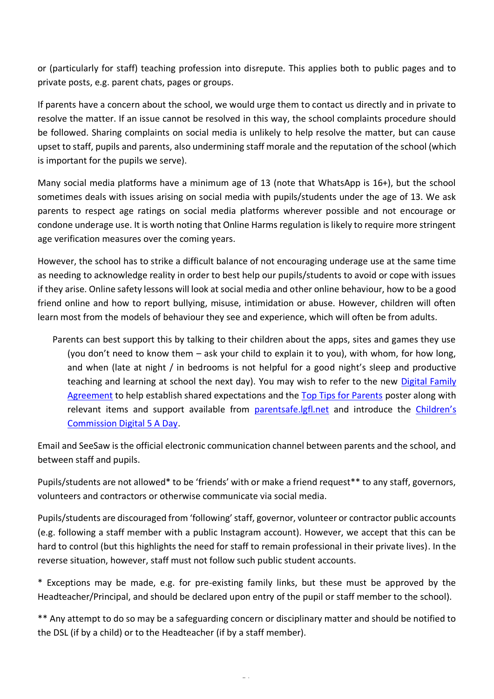or (particularly for staff) teaching profession into disrepute. This applies both to public pages and to private posts, e.g. parent chats, pages or groups.

If parents have a concern about the school, we would urge them to contact us directly and in private to resolve the matter. If an issue cannot be resolved in this way, the school complaints procedure should be followed. Sharing complaints on social media is unlikely to help resolve the matter, but can cause upset to staff, pupils and parents, also undermining staff morale and the reputation of the school (which is important for the pupils we serve).

Many social media platforms have a minimum age of 13 (note that WhatsApp is 16+), but the school sometimes deals with issues arising on social media with pupils/students under the age of 13. We ask parents to respect age ratings on social media platforms wherever possible and not encourage or condone underage use. It is worth noting that Online Harms regulation is likely to require more stringent age verification measures over the coming years.

However, the school has to strike a difficult balance of not encouraging underage use at the same time as needing to acknowledge reality in order to best help our pupils/students to avoid or cope with issues if they arise. Online safety lessons will look at social media and other online behaviour, how to be a good friend online and how to report bullying, misuse, intimidation or abuse. However, children will often learn most from the models of behaviour they see and experience, which will often be from adults.

Parents can best support this by talking to their children about the apps, sites and games they use (you don't need to know them – ask your child to explain it to you), with whom, for how long, and when (late at night / in bedrooms is not helpful for a good night's sleep and productive teaching and learning at school the next day). You may wish to refer to the new Digital Family [Agreement](https://assets.publishing.service.gov.uk/government/uploads/system/uploads/attachment_data/file/947546/Sharing_nudes_and_semi_nudes_how_to_respond_to_an_incident_Summary_V2.pdf) to help establish shared expectations and the [Top Tips for Parents](https://static.lgfl.net/LgflNet/downloads/digisafe/Parent-Top-Tips-Safe-Online-Corona.pdf) poster along with relevant items and support available from [parentsafe.lgfl.net](https://parentsafe.lgfl.net/) and introduce the [Children's](https://www.childrenscommissioner.gov.uk/our-work/digital/5-a-day/)  [Commission Digital 5 A Day.](https://www.childrenscommissioner.gov.uk/our-work/digital/5-a-day/)

Email and SeeSaw is the official electronic communication channel between parents and the school, and between staff and pupils.

Pupils/students are not allowed\* to be 'friends' with or make a friend request\*\* to any staff, governors, volunteers and contractors or otherwise communicate via social media.

Pupils/students are discouraged from 'following' staff, governor, volunteer or contractor public accounts (e.g. following a staff member with a public Instagram account). However, we accept that this can be hard to control (but this highlights the need for staff to remain professional in their private lives). In the reverse situation, however, staff must not follow such public student accounts.

\* Exceptions may be made, e.g. for pre-existing family links, but these must be approved by the Headteacher/Principal, and should be declared upon entry of the pupil or staff member to the school).

\*\* Any attempt to do so may be a safeguarding concern or disciplinary matter and should be notified to the DSL (if by a child) or to the Headteacher (if by a staff member).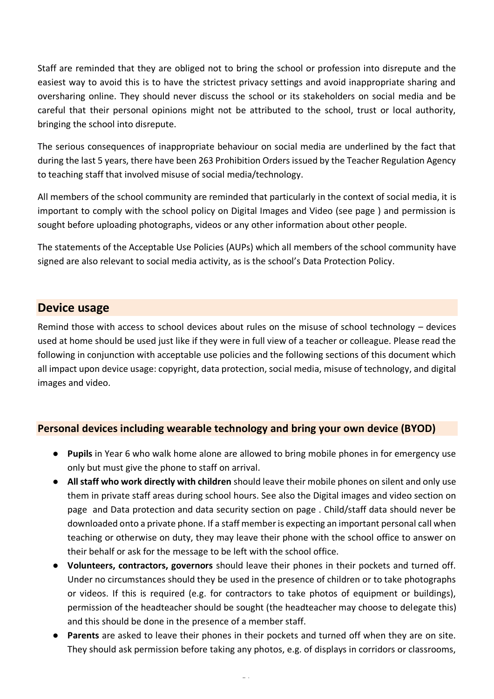Staff are reminded that they are obliged not to bring the school or profession into disrepute and the easiest way to avoid this is to have the strictest privacy settings and avoid inappropriate sharing and oversharing online. They should never discuss the school or its stakeholders on social media and be careful that their personal opinions might not be attributed to the school, trust or local authority, bringing the school into disrepute.

The serious consequences of inappropriate behaviour on social media are underlined by the fact that during the last 5 years, there have been 263 Prohibition Orders issued by the Teacher Regulation Agency to teaching staff that involved misuse of social media/technology.

All members of the school community are reminded that particularly in the context of social media, it is important to comply with the school policy on Digital Images and Video (see page ) and permission is sought before uploading photographs, videos or any other information about other people.

The statements of the Acceptable Use Policies (AUPs) which all members of the school community have signed are also relevant to social media activity, as is the school's Data Protection Policy.

## <span id="page-26-0"></span>**Device usage**

Remind those with access to school devices about rules on the misuse of school technology – devices used at home should be used just like if they were in full view of a teacher or colleague. Please read the following in conjunction with acceptable use policies and the following sections of this document which all impact upon device usage: copyright, data protection, social media, misuse of technology, and digital images and video.

### <span id="page-26-1"></span>**Personal devices including wearable technology and bring your own device (BYOD)**

- **Pupils** in Year 6 who walk home alone are allowed to bring mobile phones in for emergency use only but must give the phone to staff on arrival.
- **All staff who work directly with children** should leave their mobile phones on silent and only use them in private staff areas during school hours. See also the Digital images and video section on page and Data protection and data security section on page . Child/staff data should never be downloaded onto a private phone. If a staff member is expecting an important personal call when teaching or otherwise on duty, they may leave their phone with the school office to answer on their behalf or ask for the message to be left with the school office.
- **Volunteers, contractors, governors** should leave their phones in their pockets and turned off. Under no circumstances should they be used in the presence of children or to take photographs or videos. If this is required (e.g. for contractors to take photos of equipment or buildings), permission of the headteacher should be sought (the headteacher may choose to delegate this) and this should be done in the presence of a member staff.
- **Parents** are asked to leave their phones in their pockets and turned off when they are on site. They should ask permission before taking any photos, e.g. of displays in corridors or classrooms,